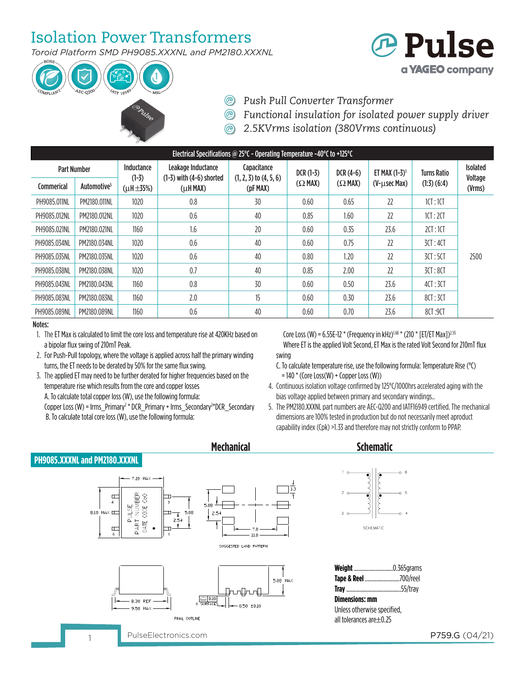# Isolation Power Transformers

*Toroid Platform SMD PH9085.XXXNL and PM2180.XXXNL*



- **@ Pulse** a **YAGEO** company
- *Push Pull Converter Transformer*
- *Functional insulation for isolated power supply driver*
- *2.5KVrms isolation (380Vrms continuous)*

| Electrical Specifications @ 25 $\degree$ C - Operating Temperature -40 $\degree$ C to +125 $\degree$ C |                         |                       |                                                    |                                           |                |                |                  |                    |                            |
|--------------------------------------------------------------------------------------------------------|-------------------------|-----------------------|----------------------------------------------------|-------------------------------------------|----------------|----------------|------------------|--------------------|----------------------------|
| <b>Part Number</b>                                                                                     |                         | Inductance<br>$(1-3)$ | Leakage Inductance<br>$(1-3)$ with $(4-6)$ shorted | Capacitance<br>$(1, 2, 3)$ to $(4, 5, 6)$ | $DCR(1-3)$     | $DCR(4-6)$     | ET MAX $(1-3)^1$ | <b>Turns Ratio</b> | <b>Isolated</b><br>Voltage |
| Commerical                                                                                             | Automotive <sup>5</sup> | $(\mu H \pm 35\%)$    | $(\mu$ H MAX)                                      | (pF MAX)                                  | $(\Omega$ MAX) | $(\Omega$ MAX) | (V-µsec Max)     | $(1:3)$ $(6:4)$    | (Vrms)                     |
| PH9085.011NL                                                                                           | PM2180.011NL            | 1020                  | 0.8                                                | 30                                        | 0.60           | 0.65           | 22               | 1CT:1CT            |                            |
| PH9085.012NL                                                                                           | PM2180.012NL            | 1020                  | 0.6                                                | 40                                        | 0.85           | 1.60           | 22               | 1CT:2CT            |                            |
| PH9085.021NL                                                                                           | PM2180.021NL            | 1160                  | 1.6                                                | 20                                        | 0.60           | 0.35           | 23.6             | 2CT:1CT            |                            |
| PH9085.034NL                                                                                           | PM2180.034NL            | 1020                  | 0.6                                                | 40                                        | 0.60           | 0.75           | 22               | 3CT:4CT            |                            |
| PH9085.035NL                                                                                           | PM2180.035NL            | 1020                  | 0.6                                                | 40                                        | 0.80           | 1.20           | 22               | 3CT:5CT            | 2500                       |
| PH9085.038NL                                                                                           | PM2180.038NL            | 1020                  | 0.7                                                | 40                                        | 0.85           | 2.00           | 22               | 3CT:8CT            |                            |
| PH9085.043NL                                                                                           | PM2180.043NL            | 1160                  | 0.8                                                | 30                                        | 0.60           | 0.50           | 23.6             | 4CT:3CT            |                            |
| PH9085.083NL                                                                                           | PM2180.083NL            | 1160                  | 2.0                                                | 15                                        | 0.60           | 0.30           | 23.6             | 8CT: 3CT           |                            |
| PH9085.089NL                                                                                           | PM2180.089NL            | 1160                  | 0.6                                                | 40                                        | 0.60           | 0.70           | 23.6             | 8CT:9CT            |                            |

### Notes:

- 1. The ET Max is calculated to limit the core loss and temperature rise at 420KHz based on a bipolar flux swing of 210mT Peak.
- 2. For Push-Pull topology, where the voltage is applied across half the primary winding turns, the ET needs to be derated by 50% for the same flux swing.
- 3. The applied ET may need to be further derated for higher frequencies based on the temperature rise which results from the core and copper losses A. To calculate total copper loss (W), use the following formula: Copper Loss (W) = lrms\_Primary<sup>2</sup> \* DCR\_Primary + lrms\_Secondary<sup>2</sup>\*DCR\_Secondary

B. To calculate total core loss (W), use the following formula:

Core Loss (W) = 6.55E-12  $*$  (Frequency in kHz)<sup>1.68</sup>  $*$  (210  $*$  [ET/ET Max])<sup>2.55</sup> Where ET is the applied Volt Second, ET Max is the rated Volt Second for 210mT flux swing

- C. To calculate temperature rise, use the following formula: Temperature Rise (°C)  $= 140$  \* (Core Loss(W) + Copper Loss (W))
- 4. Continuous isolation voltage confirmed by 125°C/1000hrs accelerated aging with the bias voltage applied between primary and secondary windings..
- 5. The PM2180.XXXNL part numbers are AEC-Q200 and IATF16949 certified. The mechanical dimensions are 100% tested in production but do not necessarily meet aproduct capability index (Cpk) >1.33 and therefore may not strictly conform to PPAP.

### **PH9085.XXXNL and PM2180.XXXNL**



## **Mechanical Schematic**